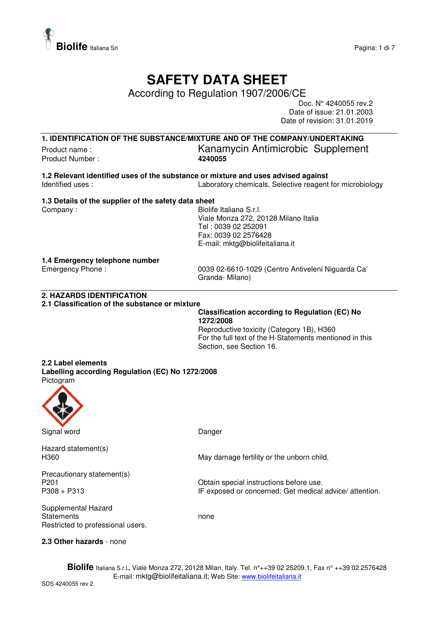

## **SAFETY DATA SHEET**

According to Regulation 1907/2006/CE

Doc. N° 4240055 rev.2 Date of issue: 21.01.2003 Date of revision: 31.01.2019

**1. IDENTIFICATION OF THE SUBSTANCE/MIXTURE AND OF THE COMPANY/UNDERTAKING**

Product Number :

Product name :<br>
Product Number :<br> **A240055**<br> **A240055** 

**1.2 Relevant identified uses of the substance or mixture and uses advised against**  Identified uses : Laboratory chemicals, Selective reagent for microbiology

## **1.3 Details of the supplier of the safety data sheet**

Company : Company : General Manual Company : Biolife Italiana S.r.l. Viale Monza 272, 20128 Milano Italia Tel : 0039 02 252091 Fax: 0039 02 2576428 E-mail: mktg@biolifeitaliana.it

#### **1.4 Emergency telephone number**

Emergency Phone : 0039 02-6610-1029 (Centro Antiveleni Niguarda Ca' Granda- Milano)

#### **2. HAZARDS IDENTIFICATION**

**2.1 Classification of the substance or mixture** 

### **Classification according to Regulation (EC) No 1272/2008**

Reproductive toxicity (Category 1B), H360 For the full text of the H-Statements mentioned in this Section, see Section 16.

## **2.2 Label elements**

**Labelling according Regulation (EC) No 1272/2008**  Pictogram



Signal word **Danger** Danger

Hazard statement(s)

H360 May damage fertility or the unborn child.

Precautionary statement(s)<br>P201

Supplemental Hazard

P201 **P201** Obtain special instructions before use.<br>P308 + P313 **P308** IF exposed or concerned: Get medical IF exposed or concerned: Get medical advice/ attention.

Statements none none Restricted to professional users.

#### **2.3 Other hazards** - none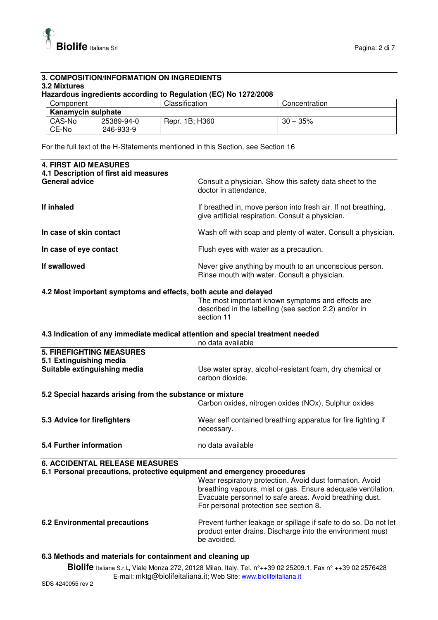

#### **3. COMPOSITION/INFORMATION ON INGREDIENTS 3.2 Mixtures**

#### **Hazardous ingredients according to Regulation (EC) No 1272/2008**

| Component          |            | Classification | Concentration |
|--------------------|------------|----------------|---------------|
| Kanamycin sulphate |            |                |               |
| CAS-No             | 25389-94-0 | Repr. 1B; H360 | $30 - 35%$    |
| CE-No              | 246-933-9  |                |               |

For the full text of the H-Statements mentioned in this Section, see Section 16

| <b>4. FIRST AID MEASURES</b><br>4.1 Description of first aid measures                               |                                                                                                                                                                                                                               |
|-----------------------------------------------------------------------------------------------------|-------------------------------------------------------------------------------------------------------------------------------------------------------------------------------------------------------------------------------|
| <b>General advice</b>                                                                               | Consult a physician. Show this safety data sheet to the<br>doctor in attendance.                                                                                                                                              |
| If inhaled                                                                                          | If breathed in, move person into fresh air. If not breathing,<br>give artificial respiration. Consult a physician.                                                                                                            |
| In case of skin contact                                                                             | Wash off with soap and plenty of water. Consult a physician.                                                                                                                                                                  |
| In case of eye contact                                                                              | Flush eyes with water as a precaution.                                                                                                                                                                                        |
| If swallowed                                                                                        | Never give anything by mouth to an unconscious person.<br>Rinse mouth with water. Consult a physician.                                                                                                                        |
| 4.2 Most important symptoms and effects, both acute and delayed                                     |                                                                                                                                                                                                                               |
|                                                                                                     | The most important known symptoms and effects are<br>described in the labelling (see section 2.2) and/or in<br>section 11                                                                                                     |
| 4.3 Indication of any immediate medical attention and special treatment needed<br>no data available |                                                                                                                                                                                                                               |
| <b>5. FIREFIGHTING MEASURES</b><br>5.1 Extinguishing media                                          |                                                                                                                                                                                                                               |
| Suitable extinguishing media                                                                        | Use water spray, alcohol-resistant foam, dry chemical or<br>carbon dioxide.                                                                                                                                                   |
| 5.2 Special hazards arising from the substance or mixture                                           |                                                                                                                                                                                                                               |
|                                                                                                     | Carbon oxides, nitrogen oxides (NOx), Sulphur oxides                                                                                                                                                                          |
| 5.3 Advice for firefighters                                                                         | Wear self contained breathing apparatus for fire fighting if<br>necessary.                                                                                                                                                    |
| 5.4 Further information                                                                             | no data available                                                                                                                                                                                                             |
| <b>6. ACCIDENTAL RELEASE MEASURES</b>                                                               |                                                                                                                                                                                                                               |
| 6.1 Personal precautions, protective equipment and emergency procedures                             | Wear respiratory protection. Avoid dust formation. Avoid<br>breathing vapours, mist or gas. Ensure adequate ventilation.<br>Evacuate personnel to safe areas. Avoid breathing dust.<br>For personal protection see section 8. |
| <b>6.2 Environmental precautions</b>                                                                | Prevent further leakage or spillage if safe to do so. Do not let<br>product enter drains. Discharge into the environment must<br>be avoided.                                                                                  |
| 6.3 Methods and materials for containment and cleaning up                                           |                                                                                                                                                                                                                               |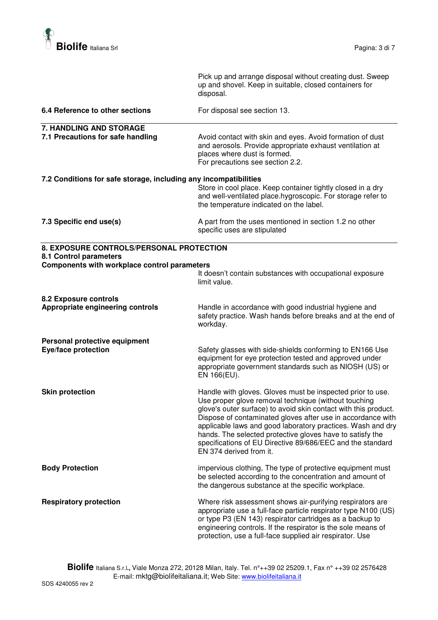

|                                                                                                                    | Pick up and arrange disposal without creating dust. Sweep<br>up and shovel. Keep in suitable, closed containers for<br>disposal.                                                                                                                                                                                                                                                                                                                                          |
|--------------------------------------------------------------------------------------------------------------------|---------------------------------------------------------------------------------------------------------------------------------------------------------------------------------------------------------------------------------------------------------------------------------------------------------------------------------------------------------------------------------------------------------------------------------------------------------------------------|
| 6.4 Reference to other sections                                                                                    | For disposal see section 13.                                                                                                                                                                                                                                                                                                                                                                                                                                              |
| 7. HANDLING AND STORAGE<br>7.1 Precautions for safe handling                                                       | Avoid contact with skin and eyes. Avoid formation of dust<br>and aerosols. Provide appropriate exhaust ventilation at<br>places where dust is formed.<br>For precautions see section 2.2.                                                                                                                                                                                                                                                                                 |
| 7.2 Conditions for safe storage, including any incompatibilities                                                   | Store in cool place. Keep container tightly closed in a dry<br>and well-ventilated place.hygroscopic. For storage refer to<br>the temperature indicated on the label.                                                                                                                                                                                                                                                                                                     |
| 7.3 Specific end use(s)                                                                                            | A part from the uses mentioned in section 1.2 no other<br>specific uses are stipulated                                                                                                                                                                                                                                                                                                                                                                                    |
| 8. EXPOSURE CONTROLS/PERSONAL PROTECTION<br>8.1 Control parameters<br>Components with workplace control parameters | It doesn't contain substances with occupational exposure<br>limit value.                                                                                                                                                                                                                                                                                                                                                                                                  |
| 8.2 Exposure controls<br>Appropriate engineering controls                                                          | Handle in accordance with good industrial hygiene and<br>safety practice. Wash hands before breaks and at the end of<br>workday.                                                                                                                                                                                                                                                                                                                                          |
| Personal protective equipment<br><b>Eye/face protection</b>                                                        | Safety glasses with side-shields conforming to EN166 Use<br>equipment for eye protection tested and approved under<br>appropriate government standards such as NIOSH (US) or<br>EN 166(EU).                                                                                                                                                                                                                                                                               |
| <b>Skin protection</b>                                                                                             | Handle with gloves. Gloves must be inspected prior to use.<br>Use proper glove removal technique (without touching<br>glove's outer surface) to avoid skin contact with this product.<br>Dispose of contaminated gloves after use in accordance with<br>applicable laws and good laboratory practices. Wash and dry<br>hands. The selected protective gloves have to satisfy the<br>specifications of EU Directive 89/686/EEC and the standard<br>EN 374 derived from it. |
| <b>Body Protection</b>                                                                                             | impervious clothing, The type of protective equipment must<br>be selected according to the concentration and amount of<br>the dangerous substance at the specific workplace.                                                                                                                                                                                                                                                                                              |
| <b>Respiratory protection</b>                                                                                      | Where risk assessment shows air-purifying respirators are<br>appropriate use a full-face particle respirator type N100 (US)<br>or type P3 (EN 143) respirator cartridges as a backup to<br>engineering controls. If the respirator is the sole means of<br>protection, use a full-face supplied air respirator. Use                                                                                                                                                       |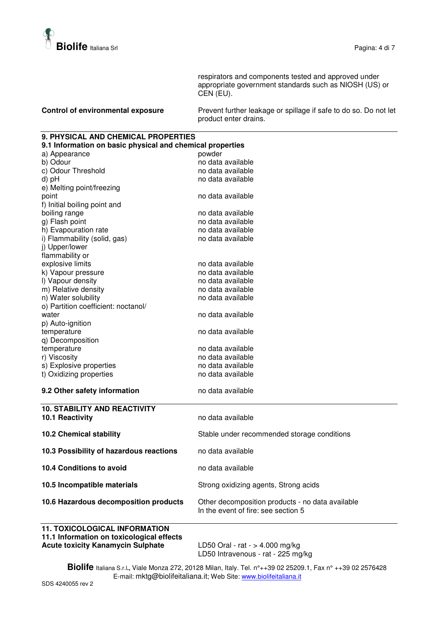

respirators and components tested and approved under appropriate government standards such as NIOSH (US) or CEN (EU).

| <b>Control of environmental exposure</b> | Prevent further leakage or spillage if safe to do so. Do not let |
|------------------------------------------|------------------------------------------------------------------|
|                                          | product enter drains.                                            |

#### **9. PHYSICAL AND CHEMICAL PROPERTIES 9.1 Information on basic physical and chemical properties**

| 3. Thuormanon on basic privilegia and chemical propernes |                                                  |
|----------------------------------------------------------|--------------------------------------------------|
| a) Appearance                                            | powder                                           |
| b) Odour                                                 | no data available                                |
| c) Odour Threshold                                       | no data available                                |
| d) pH                                                    | no data available                                |
| e) Melting point/freezing                                |                                                  |
| point                                                    | no data available                                |
| f) Initial boiling point and                             |                                                  |
| boiling range                                            | no data available                                |
| g) Flash point                                           | no data available                                |
| h) Evapouration rate                                     | no data available                                |
| i) Flammability (solid, gas)                             | no data available                                |
| i) Upper/lower                                           |                                                  |
| flammability or                                          |                                                  |
| explosive limits                                         | no data available                                |
| k) Vapour pressure                                       | no data available                                |
| I) Vapour density                                        | no data available                                |
| m) Relative density                                      | no data available                                |
| n) Water solubility                                      | no data available                                |
| o) Partition coefficient: noctanol/                      |                                                  |
| water                                                    | no data available                                |
| p) Auto-ignition                                         |                                                  |
| temperature                                              | no data available                                |
| q) Decomposition                                         |                                                  |
| temperature                                              | no data available                                |
| r) Viscosity                                             | no data available                                |
| s) Explosive properties                                  | no data available                                |
| t) Oxidizing properties                                  | no data available                                |
| 9.2 Other safety information                             | no data available                                |
|                                                          |                                                  |
| <b>10. STABILITY AND REACTIVITY</b>                      |                                                  |
| 10.1 Reactivity                                          | no data available                                |
|                                                          |                                                  |
| <b>10.2 Chemical stability</b>                           | Stable under recommended storage conditions      |
| 10.3 Possibility of hazardous reactions                  | no data available                                |
| <b>10.4 Conditions to avoid</b>                          | no data available                                |
|                                                          |                                                  |
| 10.5 Incompatible materials                              | Strong oxidizing agents, Strong acids            |
| 10.6 Hazardous decomposition products                    | Other decomposition products - no data available |
|                                                          | In the event of fire: see section 5              |
| <b>11. TOXICOLOGICAL INFORMATION</b>                     |                                                  |
| 11.1 Information on toxicological offects                |                                                  |

**11.1 Information on toxicological effects Acute toxicity Kanamycin Sulphate** LD50 Oral - rat - > 4.000 mg/kg

LD50 Intravenous - rat - 225 mg/kg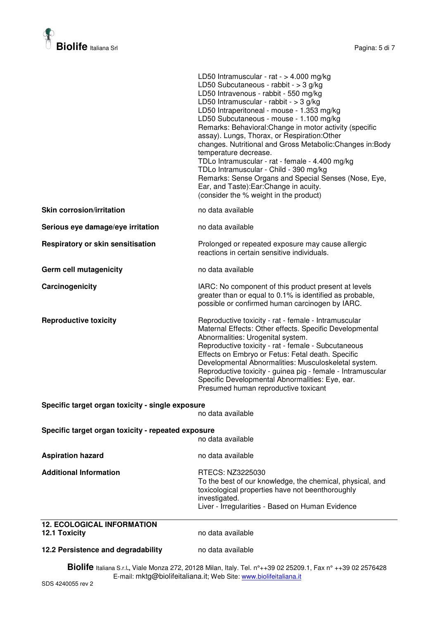

|                                                                         | LD50 Intramuscular - rat - $> 4.000$ mg/kg<br>LD50 Subcutaneous - rabbit - > 3 g/kg<br>LD50 Intravenous - rabbit - 550 mg/kg<br>LD50 Intramuscular - rabbit - $>$ 3 g/kg<br>LD50 Intraperitoneal - mouse - 1.353 mg/kg<br>LD50 Subcutaneous - mouse - 1.100 mg/kg<br>Remarks: Behavioral: Change in motor activity (specific<br>assay). Lungs, Thorax, or Respiration: Other<br>changes. Nutritional and Gross Metabolic: Changes in: Body<br>temperature decrease.<br>TDLo Intramuscular - rat - female - 4.400 mg/kg<br>TDLo Intramuscular - Child - 390 mg/kg<br>Remarks: Sense Organs and Special Senses (Nose, Eye,<br>Ear, and Taste): Ear: Change in acuity.<br>(consider the % weight in the product) |
|-------------------------------------------------------------------------|---------------------------------------------------------------------------------------------------------------------------------------------------------------------------------------------------------------------------------------------------------------------------------------------------------------------------------------------------------------------------------------------------------------------------------------------------------------------------------------------------------------------------------------------------------------------------------------------------------------------------------------------------------------------------------------------------------------|
| <b>Skin corrosion/irritation</b>                                        | no data available                                                                                                                                                                                                                                                                                                                                                                                                                                                                                                                                                                                                                                                                                             |
| Serious eye damage/eye irritation                                       | no data available                                                                                                                                                                                                                                                                                                                                                                                                                                                                                                                                                                                                                                                                                             |
| <b>Respiratory or skin sensitisation</b>                                | Prolonged or repeated exposure may cause allergic<br>reactions in certain sensitive individuals.                                                                                                                                                                                                                                                                                                                                                                                                                                                                                                                                                                                                              |
| Germ cell mutagenicity                                                  | no data available                                                                                                                                                                                                                                                                                                                                                                                                                                                                                                                                                                                                                                                                                             |
| Carcinogenicity                                                         | IARC: No component of this product present at levels<br>greater than or equal to 0.1% is identified as probable,<br>possible or confirmed human carcinogen by IARC.                                                                                                                                                                                                                                                                                                                                                                                                                                                                                                                                           |
| <b>Reproductive toxicity</b>                                            | Reproductive toxicity - rat - female - Intramuscular<br>Maternal Effects: Other effects. Specific Developmental<br>Abnormalities: Urogenital system.<br>Reproductive toxicity - rat - female - Subcutaneous<br>Effects on Embryo or Fetus: Fetal death. Specific<br>Developmental Abnormalities: Musculoskeletal system.<br>Reproductive toxicity - guinea pig - female - Intramuscular<br>Specific Developmental Abnormalities: Eye, ear.<br>Presumed human reproductive toxicant                                                                                                                                                                                                                            |
| Specific target organ toxicity - single exposure                        | no data available                                                                                                                                                                                                                                                                                                                                                                                                                                                                                                                                                                                                                                                                                             |
| Specific target organ toxicity - repeated exposure<br>no data available |                                                                                                                                                                                                                                                                                                                                                                                                                                                                                                                                                                                                                                                                                                               |
| <b>Aspiration hazard</b>                                                | no data available                                                                                                                                                                                                                                                                                                                                                                                                                                                                                                                                                                                                                                                                                             |
| <b>Additional Information</b>                                           | RTECS: NZ3225030<br>To the best of our knowledge, the chemical, physical, and<br>toxicological properties have not beenthoroughly<br>investigated.<br>Liver - Irregularities - Based on Human Evidence                                                                                                                                                                                                                                                                                                                                                                                                                                                                                                        |

# **12. ECOLOGICAL INFORMATION**

**12.1 Toxicity** no data available

#### 12.2 Persistence and degradability **no data available**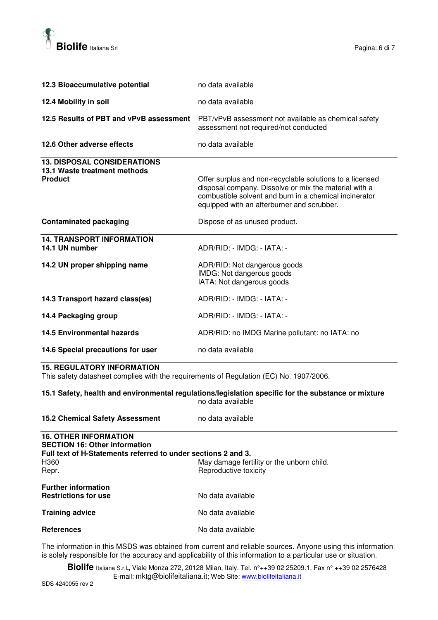

| 12.3 Bioaccumulative potential                                                       | no data available                                                                                                                                                                                                         |
|--------------------------------------------------------------------------------------|---------------------------------------------------------------------------------------------------------------------------------------------------------------------------------------------------------------------------|
| 12.4 Mobility in soil                                                                | no data available                                                                                                                                                                                                         |
| 12.5 Results of PBT and vPvB assessment                                              | PBT/vPvB assessment not available as chemical safety<br>assessment not required/not conducted                                                                                                                             |
| 12.6 Other adverse effects                                                           | no data available                                                                                                                                                                                                         |
| <b>13. DISPOSAL CONSIDERATIONS</b><br>13.1 Waste treatment methods<br><b>Product</b> | Offer surplus and non-recyclable solutions to a licensed<br>disposal company. Dissolve or mix the material with a<br>combustible solvent and burn in a chemical incinerator<br>equipped with an afterburner and scrubber. |
| <b>Contaminated packaging</b>                                                        | Dispose of as unused product.                                                                                                                                                                                             |
| <b>14. TRANSPORT INFORMATION</b><br>14.1 UN number                                   | ADR/RID: - IMDG: - IATA: -                                                                                                                                                                                                |
| 14.2 UN proper shipping name                                                         | ADR/RID: Not dangerous goods<br>IMDG: Not dangerous goods<br>IATA: Not dangerous goods                                                                                                                                    |
| 14.3 Transport hazard class(es)                                                      | ADR/RID: - IMDG: - IATA: -                                                                                                                                                                                                |
| 14.4 Packaging group                                                                 | ADR/RID: - IMDG: - IATA: -                                                                                                                                                                                                |
| <b>14.5 Environmental hazards</b>                                                    | ADR/RID: no IMDG Marine pollutant: no IATA: no                                                                                                                                                                            |
| 14.6 Special precautions for user                                                    | no data available                                                                                                                                                                                                         |

### **15. REGULATORY INFORMATION**

This safety datasheet complies with the requirements of Regulation (EC) No. 1907/2006.

**15.1 Safety, health and environmental regulations/legislation specific for the substance or mixture**  no data available

| <b>15.2 Chemical Safety Assessment</b>                                                                                                | no data available                                                  |
|---------------------------------------------------------------------------------------------------------------------------------------|--------------------------------------------------------------------|
| <b>16. OTHER INFORMATION</b><br><b>SECTION 16: Other information</b><br>Full text of H-Statements referred to under sections 2 and 3. |                                                                    |
| H360<br>Repr.                                                                                                                         | May damage fertility or the unborn child.<br>Reproductive toxicity |
| <b>Further information</b><br><b>Restrictions for use</b>                                                                             | No data available                                                  |
| <b>Training advice</b>                                                                                                                | No data available                                                  |
| <b>References</b>                                                                                                                     | No data available                                                  |

The information in this MSDS was obtained from current and reliable sources. Anyone using this information is solely responsible for the accuracy and applicability of this information to a particular use or situation.